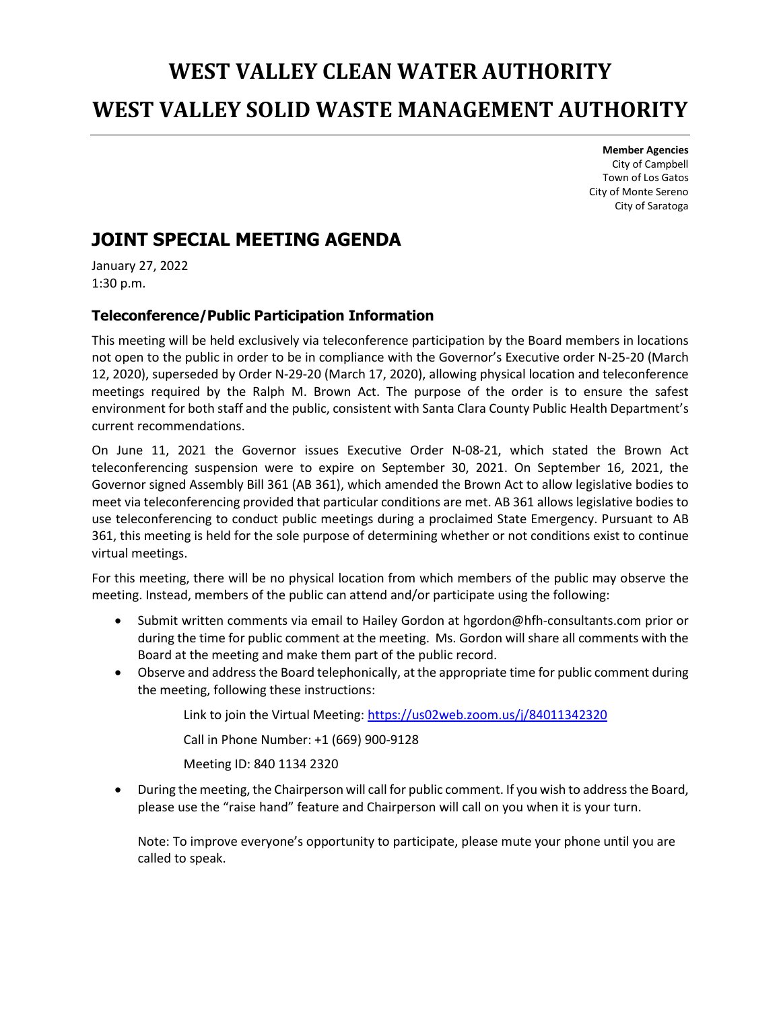# **WEST VALLEY CLEAN WATER AUTHORITY WEST VALLEY SOLID WASTE MANAGEMENT AUTHORITY**

**Member Agencies** City of Campbell Town of Los Gatos City of Monte Sereno City of Saratoga

# **JOINT SPECIAL MEETING AGENDA**

January 27, 2022 1:30 p.m.

## **Teleconference/Public Participation Information**

This meeting will be held exclusively via teleconference participation by the Board members in locations not open to the public in order to be in compliance with the Governor's Executive order N-25-20 (March 12, 2020), superseded by Order N-29-20 (March 17, 2020), allowing physical location and teleconference meetings required by the Ralph M. Brown Act. The purpose of the order is to ensure the safest environment for both staff and the public, consistent with Santa Clara County Public Health Department's current recommendations.

On June 11, 2021 the Governor issues Executive Order N-08-21, which stated the Brown Act teleconferencing suspension were to expire on September 30, 2021. On September 16, 2021, the Governor signed Assembly Bill 361 (AB 361), which amended the Brown Act to allow legislative bodies to meet via teleconferencing provided that particular conditions are met. AB 361 allows legislative bodies to use teleconferencing to conduct public meetings during a proclaimed State Emergency. Pursuant to AB 361, this meeting is held for the sole purpose of determining whether or not conditions exist to continue virtual meetings.

For this meeting, there will be no physical location from which members of the public may observe the meeting. Instead, members of the public can attend and/or participate using the following:

- Submit written comments via email to Hailey Gordon at hgordon@hfh-consultants.com prior or during the time for public comment at the meeting. Ms. Gordon will share all comments with the Board at the meeting and make them part of the public record.
- Observe and address the Board telephonically, at the appropriate time for public comment during the meeting, following these instructions:

Link to join the Virtual Meeting: <https://us02web.zoom.us/j/84011342320>

Call in Phone Number: +1 (669) 900-9128

Meeting ID: 840 1134 2320

• During the meeting, the Chairperson will call for public comment. If you wish to address the Board, please use the "raise hand" feature and Chairperson will call on you when it is your turn.

Note: To improve everyone's opportunity to participate, please mute your phone until you are called to speak.